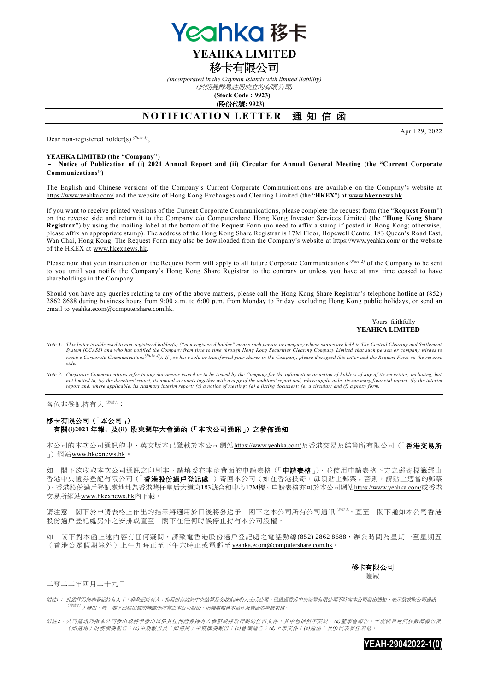

## **YEAHKA LIMITED** 移卡有限公司

*(Incorporated in the Cayman Islands with limited liability)* 

*(*於開曼群島註冊成立的有限公司*)*

**(Stock Code**:**9923) (**股份代號**: 9923)**

# **NOTIFICATION LETTER 通知信函**

Dear non-registered holder(s) *(Note 1)* ,

### **YEAHKA LIMITED (the "Company")**

– **Notice of Publication of (i) 2021 Annual Report and (ii) Circular for Annual General Meeting (the "Current Corporate Communications")**

The English and Chinese versions of the Company's Current Corporate Communication s are available on the Company's website at https://www.yeahka.com/ and the website of Hong Kong Exchanges and Clearing Limited (the "**HKEX**") at [www.hkexnews.hk.](http://www.hkexnews.hk/)

If you want to receive printed versions of the Current Corporate Communications, please complete the request form (the "**Request Form**") on the reverse side and return it to the Company c/o Computershare Hong Kong Investor Services Limited (the "**Hong Kong Share Registrar**") by using the mailing label at the bottom of the Request Form (no need to affix a stamp if posted in Hong Kong; otherwise, please affix an appropriate stamp). The address of the Hong Kong Share Registrar is 17M Floor, Hopewell Centre, 183 Queen's Road East, Wan Chai, Hong Kong. The Request Form may also be downloaded from the Company's website at https://www.yeahka.com/ or the website of the HKEX at [www.hkexnews.hk.](http://www.hkexnews.hk/)

Please note that your instruction on the Request Form will apply to all future Corporate Communications (Note 2) of the Company to be sent to you until you notify the Company's Hong Kong Share Registrar to the contrary or unless you have at any time ceased to have shareholdings in the Company.

Should you have any queries relating to any of the above matters, please call the Hong Kong Share Registrar's telephone hotline at (852) 2862 8688 during business hours from 9:00 a.m. to 6:00 p.m. from Monday to Friday, excluding Hong Kong public holidays, or send an email to [yeahka.ecom@computershare.com.hk.](mailto:yeahka.ecom@computershare.com.hk)

### Yours faithfully **YEAHKA LIMITED**

April 29, 2022

- Note 1: This letter is addressed to non-registered holder(s) ("non-registered holder" means such person or company whose shares are held in The Central Clearing and Settlement<br>System (CCASS) and who has notified the Compan receive Corporate Communications<sup>(Note 2)</sup>). If you have sold or transferred your shares in the Company, please disregard this letter and the Request Form on the reverse *side.*
- Note 2: Corporate Communications refer to any documents issued or to be issued by the Company for the information or action of holders of any of its securities, including, but<br>not limited to, (a) the directors' report, its *report and, where applicable, its summary interim report; (c) a notice of meeting; (d) a listing document; (e) a circular; and (f) a proxy form.*

各位非登記持有人( ///// 注/ ):

### 移卡有限公司(「本公司」) **–** 有關**(i)2021** 年報**;** 及**(ii)** 股東週年大會通函(「本次公司通訊」)之發佈通知

本公司的本次公司通訊的中、英文版本已登載於本公司網站https://www.yeahka.com/及香港交易及結算所有限公司(「香港交易所 」) 網站[www.hkexnews.hk](http://www.hkexnews.hk/)。

如 閣下欲收取本次公司通訊之印刷本,請填妥在本函背面的申請表格(「申請表格」),並使用申請表格下方之郵寄標籤經由 香港中央證券登記有限公司(「香港股份過戶登記處」)寄回本公司(如在香港投寄,毋須貼上郵票;否則,請貼上適當的郵票 )。香港股份過戶登記處地址為香港灣仔皇后大道東183號合和中心17M樓。申請表格亦可於本公司網站https://www.yeahka.com/或香港 交易所網站[www.hkexnews.hk](http://www.hkexnews.hk/)內下載。

請注意 閣下於申請表格上作出的指示將適用於日後將發送予 閣下之本公司所有公司通訊(解注),直至 閣下通知本公司香港 股份過戶登記處另外之安排或直至 閣下在任何時候停止持有本公司股權。

如 閣下對本函上述內容有任何疑問,請致電香港股份過戶登記處之電話熱線(852) 2862 8688,辦公時間為星期一至星期五 (香港公眾假期除外)上午九時正至下午六時正或電郵至 [yeahka.ecom@computershare.com.hk](mailto:yeahka.ecom@computershare.com.hk)。

> 移卡有限公司 講 的

二零二二年四月二十九日

附註*1*: 此函件乃向非登記持有人(「非登記持有人」指股份存放於中央結算及交收系統的人士或公司,已透過香港中央結算有限公司不時向本公司發出通知,表示欲收取公司通訊 (附註 <sup>2</sup>) )發出。倘 閣下已經出售或轉讓所持有之本公司股份,則無需理會本函件及背面的申請表格。

附註*2*: 公司通訊乃指本公司發出或將予發出以供其任何證券持有人參照或採取行動的任何文件,其中包括但不限於: *(a)*董事會報告、年度帳目連同核數師報告及 (如適用)財務摘要報告;*(b)*中期報告及(如適用)中期摘要報告;*(c)*會議通告;*(d)*上市文件;*(e)*通函;及*(f)*代表委任表格。